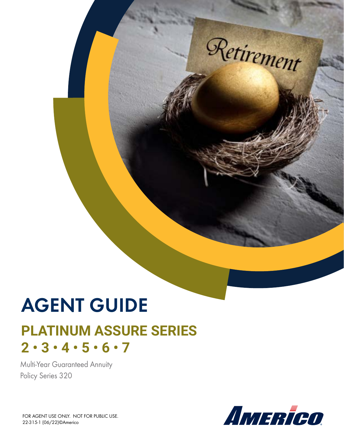# AGENT GUIDE

### **PLATINUM ASSURE SERIES 2 • 3 • 4 • 5 • 6 • 7**

Multi-Year Guaranteed Annuity Policy Series 320



Retirement

FOR AGENT USE ONLY. NOT FOR PUBLIC USE. 22-315-1 (06/22)©Americo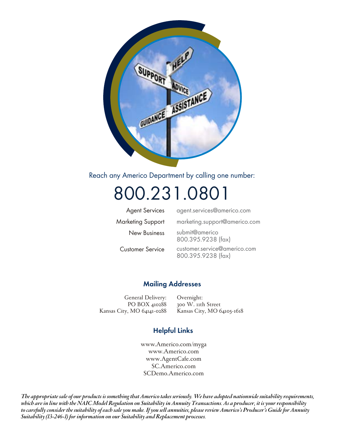

Reach any Americo Department by calling one number:

## 800.231.0801

| <b>Agent Services</b>   | agent.services@americo.com                         |
|-------------------------|----------------------------------------------------|
| Marketing Support       | marketing.support@americo.com                      |
| <b>New Business</b>     | submit@americo<br>800.395.9238 (fax)               |
| <b>Customer Service</b> | customer.service@americo.com<br>800.395.9238 (fax) |

#### Mailing Addresses

General Delivery: PO BOX 410288 Kansas City, MO 64141-0288

Overnight: 300 W. 11th Street Kansas City, MO 64105-1618

#### Helpful Links

www.Americo.com/myga www.Americo.com www.AgentCafe.com SC.Americo.com SCDemo.Americo.com

*The appropriate sale of our products is something that Americo takes seriously. We have adopted nationwide suitability requirements, which are in line with the NAIC Model Regulation on Suitability in Annuity Transactions. As a producer, it is your responsibility to carefully consider the suitability of each sale you make. If you sell annuities, please review Americo's Producer's Guide for Annuity Suitability (13-246-1) for information on our Suitability and Replacement processes.*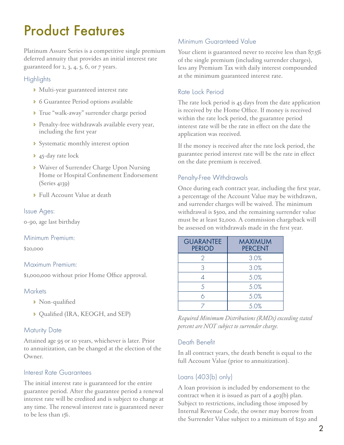### Product Features

Platinum Assure Series is a competitive single premium deferred annuity that provides an initial interest rate guaranteed for 2, 3, 4, 5, 6, or 7 years.

#### **Highlights**

- Ð Multi-year guaranteed interest rate
- Ð 6 Guarantee Period options available
- Ð True "walk-away" surrender charge period
- Ð Penalty-free withdrawals available every year, including the first year
- Ð Systematic monthly interest option
- **>** 45-day rate lock
- Ð Waiver of Surrender Charge Upon Nursing Home or Hospital Confinement Endorsement (Series 4139)
- Ð Full Account Value at death

#### Issue Ages:

0-90, age last birthday

#### Minimum Premium:

\$20,000

#### Maximum Premium:

\$1,000,000 without prior Home Office approval.

#### Markets

- Ð Non-qualified
- Ð Qualified (IRA, KEOGH, and SEP)

#### Maturity Date

Attained age 95 or 10 years, whichever is later. Prior to annuitization, can be changed at the election of the Owner.

#### Interest Rate Guarantees

The initial interest rate is guaranteed for the entire guarantee period. After the guarantee period a renewal interest rate will be credited and is subject to change at any time. The renewal interest rate is guaranteed never to be less than 1%.

#### Minimum Guaranteed Value

Your client is guaranteed never to receive less than 87.5% of the single premium (including surrender charges), less any Premium Tax with daily interest compounded at the minimum guaranteed interest rate.

#### Rate Lock Period

The rate lock period is 45 days from the date application is received by the Home Office. If money is received within the rate lock period, the guarantee period interest rate will be the rate in effect on the date the application was received.

If the money is received after the rate lock period, the guarantee period interest rate will be the rate in effect on the date premium is received.

#### Penalty-Free Withdrawals

Once during each contract year, including the first year, a percentage of the Account Value may be withdrawn, and surrender charges will be waived. The minimum withdrawal is \$500, and the remaining surrender value must be at least \$2,000. A commission chargeback will be assessed on withdrawals made in the first year.

| <b>GUARANTEE</b><br><b>PERIOD</b> | <b>MAXIMUM</b><br><b>PERCENT</b> |  |  |  |
|-----------------------------------|----------------------------------|--|--|--|
| 2                                 | 3.0%                             |  |  |  |
| З                                 | 3.0%                             |  |  |  |
|                                   | 5.0%                             |  |  |  |
| 5                                 | 5.0%                             |  |  |  |
|                                   | 5.0%                             |  |  |  |
|                                   | 5.0%                             |  |  |  |

*Required Minimum Distributions (RMDs) exceeding stated percent are NOT subject to surrender charge.*

#### Death Benefit

In all contract years, the death benefit is equal to the full Account Value (prior to annuitization).

#### Loans (403(b) only)

A loan provision is included by endorsement to the contract when it is issued as part of a 403(b) plan. Subject to restrictions, including those imposed by Internal Revenue Code, the owner may borrow from the Surrender Value subject to a minimum of \$250 and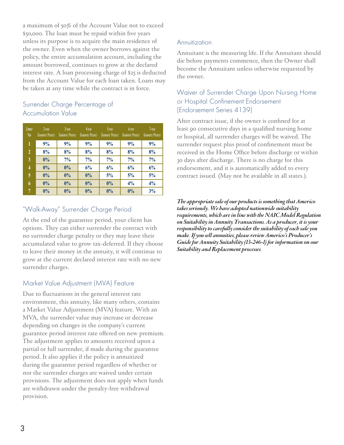a maximum of 50% of the Account Value not to exceed \$50,000. The loan must be repaid within five years unless its purpose is to acquire the main residence of the owner. Even when the owner borrows against the policy, the entire accumulation account, including the amount borrowed, continues to grow at the declared interest rate. A loan processing charge of \$25 is deducted from the Account Value for each loan taken. Loans may be taken at any time while the contract is in force.

#### Surrender Charge Percentage of Accumulation Value

| CONTRACT<br>YEAR        | $2 - YEAR$<br><b>GUARANTEE PRODUCT</b> | 3-YEAR<br><b>GUARANTEE PRODUCT</b> | 4-YEAR<br><b>GUARANTEE PRODUCT</b> | 5-YEAR<br><b>GUARANTEE PRODUCT</b> | 6-YEAR<br><b>GUARANTEE PRODUCT</b> | 7-YEAR<br><b>GUARANTEE PRODUCT</b> |
|-------------------------|----------------------------------------|------------------------------------|------------------------------------|------------------------------------|------------------------------------|------------------------------------|
| 1                       | 9%                                     | 9%                                 | 9%                                 | 9%                                 | 9%                                 | 9%                                 |
| $\overline{2}$          | 8%                                     | 8%                                 | 8%                                 | 8%                                 | 8%                                 | 8%                                 |
| $\overline{3}$          | $0\%$                                  | 7%                                 | 7%                                 | 7%                                 | 7%                                 | 7%                                 |
| $\overline{4}$          | $0\%$                                  | $0\%$                              | 6%                                 | 6%                                 | 6%                                 | 6%                                 |
| $\overline{\mathbf{5}}$ | $0\%$                                  | 0%                                 | $0\%$                              | 5%                                 | 5%                                 | 5%                                 |
| 6                       | 0%                                     | $0\%$                              | $0\%$                              | 0%                                 | 4%                                 | 4%                                 |
| 7                       | $0\%$                                  | 0%                                 | $0\%$                              | 0%                                 | 0%                                 | 3%                                 |

#### "Walk-Away" Surrender Charge Period

At the end of the guarantee period, your client has options. They can either surrender the contract with no surrender charge penalty or they may leave their accumulated value to grow tax-deferred. If they choose to leave their money in the annuity, it will continue to grow at the current declared interest rate with no new surrender charges.

#### Market Value Adjustment (MVA) Feature

Due to fluctuations in the general interest rate environment, this annuity, like many others, contains a Market Value Adjustment (MVA) feature. With an MVA, the surrender value may increase or decrease depending on changes in the company's current guarantee period interest rate offered on new premium. The adjustment applies to amounts received upon a partial or full surrender, if made during the guarantee period. It also applies if the policy is annuitized during the guarantee period regardless of whether or not the surrender charges are waived under certain provisions. The adjustment does not apply when funds are withdrawn under the penalty-free withdrawal provision.

#### **Annuitization**

Annuitant is the measuring life. If the Annuitant should die before payments commence, then the Owner shall become the Annuitant unless otherwise requested by the owner.

#### Waiver of Surrender Charge Upon Nursing Home or Hospital Confinement Endorsement (Endorsement Series 4139)

After contract issue, if the owner is confined for at least 90 consecutive days in a qualified nursing home or hospital, all surrender charges will be waived. The surrender request plus proof of confinement must be received in the Home Office before discharge or within 30 days after discharge. There is no charge for this endorsement, and it is automatically added to every contract issued. (May not be available in all states.).

*The appropriate sale of our products is something that Americo takes seriously. We have adopted nationwide suitability requirements, which are in line with the NAIC Model Regulation on Suitability in Annuity Transactions. As a producer, it is your responsibility to carefully consider the suitability of each sale you make. If you sell annuities, please review Americo's Producer's Guide for Annuity Suitability (13-246-1) for information on our Suitability and Replacement processes.*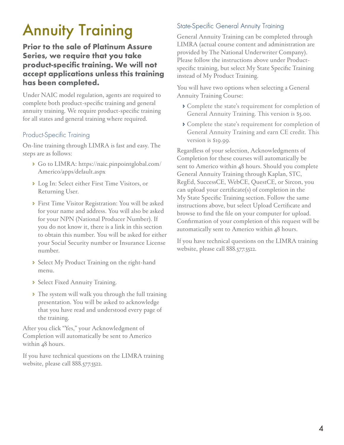## **Annuity Training**

#### Prior to the sale of Platinum Assure Series, we require that you take product-specific training. We will not accept applications unless this training has been completed.

Under NAIC model regulation, agents are required to complete both product-specific training and general annuity training. We require product-specific training for all states and general training where required.

#### Product-Specific Training

On-line training through LIMRA is fast and easy. The steps are as follows:

- Ð Go to LIMRA: https://naic.pinpointglobal.com/ Americo/apps/default.aspx
- Ð Log In: Select either First Time Visitors, or Returning User.
- Ð First Time Visitor Registration: You will be asked for your name and address. You will also be asked for your NPN (National Producer Number). If you do not know it, there is a link in this section to obtain this number. You will be asked for either your Social Security number or Insurance License number.
- Ð Select My Product Training on the right-hand menu.
- Ð Select Fixed Annuity Training.
- Ð The system will walk you through the full training presentation. You will be asked to acknowledge that you have read and understood every page of the training.

After you click "Yes," your Acknowledgment of Completion will automatically be sent to Americo within 48 hours.

If you have technical questions on the LIMRA training website, please call 888.577.5522.

#### State-Specific General Annuity Training

General Annuity Training can be completed through LIMRA (actual course content and administration are provided by The National Underwriter Company). Please follow the instructions above under Productspecific training, but select My State Specific Training instead of My Product Training.

You will have two options when selecting a General Annuity Training Course:

- Ð Complete the state's requirement for completion of General Annuity Training. This version is \$5.00.
- Ð Complete the state's requirement for completion of General Annuity Training and earn CE credit. This version is \$19.99.

Regardless of your selection, Acknowledgments of Completion for these courses will automatically be sent to Americo within 48 hours. Should you complete General Annuity Training through Kaplan, STC, RegEd, SuccessCE, WebCE, QuestCE, or Sircon, you can upload your certificate(s) of completion in the My State Specific Training section. Follow the same instructions above, but select Upload Certificate and browse to find the file on your computer for upload. Confirmation of your completion of this request will be automatically sent to Americo within 48 hours.

If you have technical questions on the LIMRA training website, please call 888.577.5522.